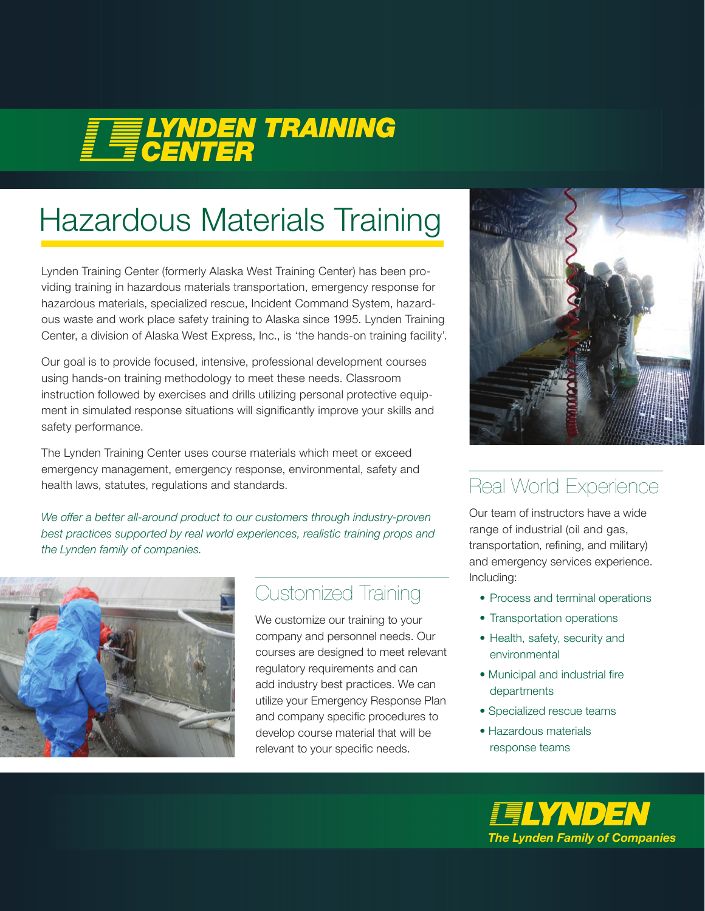# **FELYNDEN TRAINING**

## Hazardous Materials Training

Lynden Training Center (formerly Alaska West Training Center) has been providing training in hazardous materials transportation, emergency response for hazardous materials, specialized rescue, Incident Command System, hazardous waste and work place safety training to Alaska since 1995. Lynden Training Center, a division of Alaska West Express, Inc., is 'the hands-on training facility'.

Our goal is to provide focused, intensive, professional development courses using hands-on training methodology to meet these needs. Classroom instruction followed by exercises and drills utilizing personal protective equipment in simulated response situations will significantly improve your skills and safety performance.

The Lynden Training Center uses course materials which meet or exceed emergency management, emergency response, environmental, safety and health laws, statutes, regulations and standards. The state of the Real World Experience

We offer a better all-around product to our customers through industry-proven *best practices supported by real world experiences, realistic training props and the Lynden family of companies.*



#### Customized Training

We customize our training to your company and personnel needs. Our courses are designed to meet relevant regulatory requirements and can add industry best practices. We can utilize your Emergency Response Plan and company specific procedures to develop course material that will be relevant to your specific needs.



Our team of instructors have a wide range of industrial (oil and gas, transportation, refining, and military) and emergency services experience. Including:

- Process and terminal operations
- Transportation operations
- Health, safety, security and environmental
- Municipal and industrial fire departments
- Specialized rescue teams
- Hazardous materials response teams